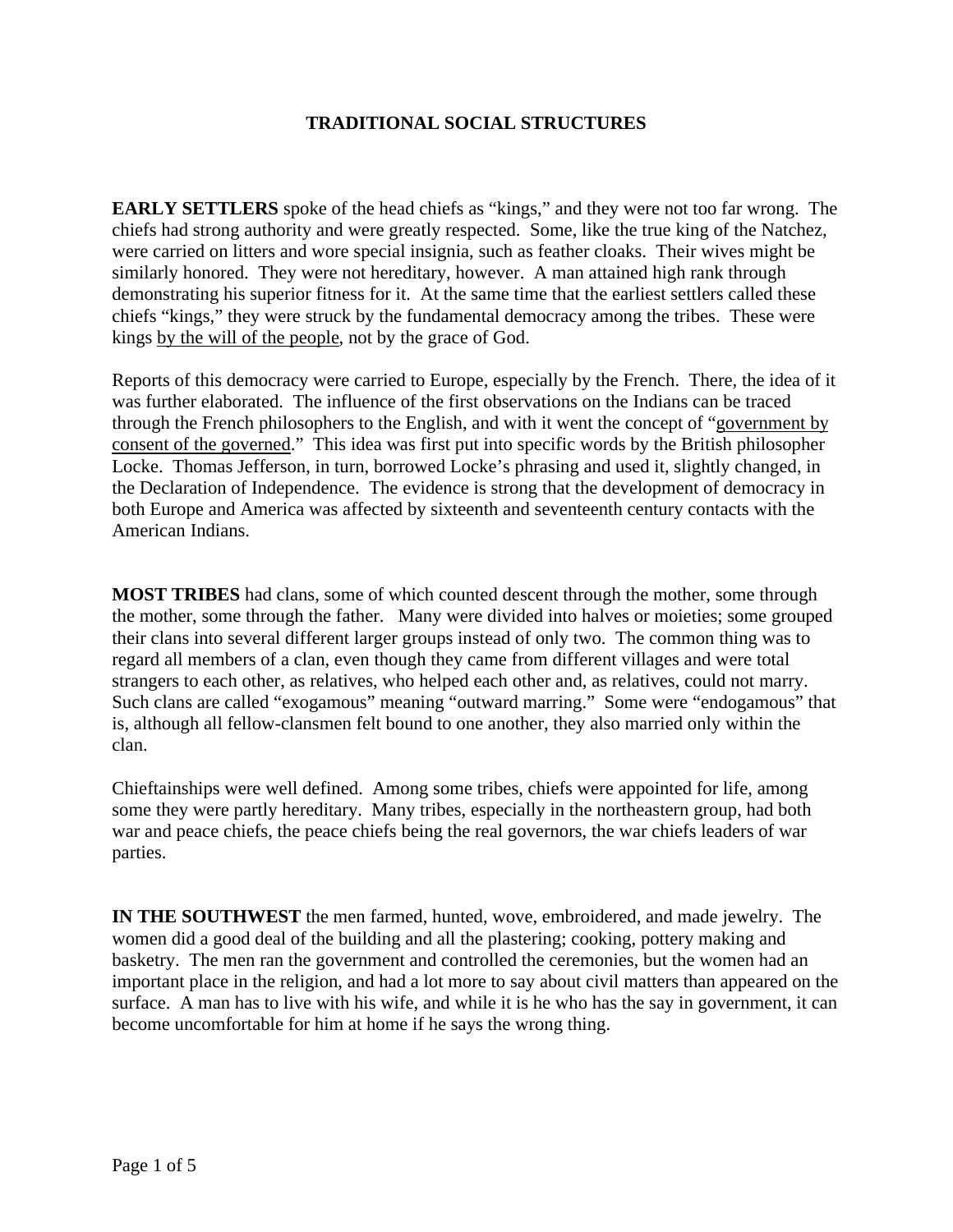# **TRADITIONAL SOCIAL STRUCTURES**

**EARLY SETTLERS** spoke of the head chiefs as "kings," and they were not too far wrong. The chiefs had strong authority and were greatly respected. Some, like the true king of the Natchez, were carried on litters and wore special insignia, such as feather cloaks. Their wives might be similarly honored. They were not hereditary, however. A man attained high rank through demonstrating his superior fitness for it. At the same time that the earliest settlers called these chiefs "kings," they were struck by the fundamental democracy among the tribes. These were kings by the will of the people, not by the grace of God.

Reports of this democracy were carried to Europe, especially by the French. There, the idea of it was further elaborated. The influence of the first observations on the Indians can be traced through the French philosophers to the English, and with it went the concept of "government by consent of the governed." This idea was first put into specific words by the British philosopher Locke. Thomas Jefferson, in turn, borrowed Locke's phrasing and used it, slightly changed, in the Declaration of Independence. The evidence is strong that the development of democracy in both Europe and America was affected by sixteenth and seventeenth century contacts with the American Indians.

**MOST TRIBES** had clans, some of which counted descent through the mother, some through the mother, some through the father. Many were divided into halves or moieties; some grouped their clans into several different larger groups instead of only two. The common thing was to regard all members of a clan, even though they came from different villages and were total strangers to each other, as relatives, who helped each other and, as relatives, could not marry. Such clans are called "exogamous" meaning "outward marring." Some were "endogamous" that is, although all fellow-clansmen felt bound to one another, they also married only within the clan.

Chieftainships were well defined. Among some tribes, chiefs were appointed for life, among some they were partly hereditary. Many tribes, especially in the northeastern group, had both war and peace chiefs, the peace chiefs being the real governors, the war chiefs leaders of war parties.

**IN THE SOUTHWEST** the men farmed, hunted, wove, embroidered, and made jewelry. The women did a good deal of the building and all the plastering; cooking, pottery making and basketry. The men ran the government and controlled the ceremonies, but the women had an important place in the religion, and had a lot more to say about civil matters than appeared on the surface. A man has to live with his wife, and while it is he who has the say in government, it can become uncomfortable for him at home if he says the wrong thing.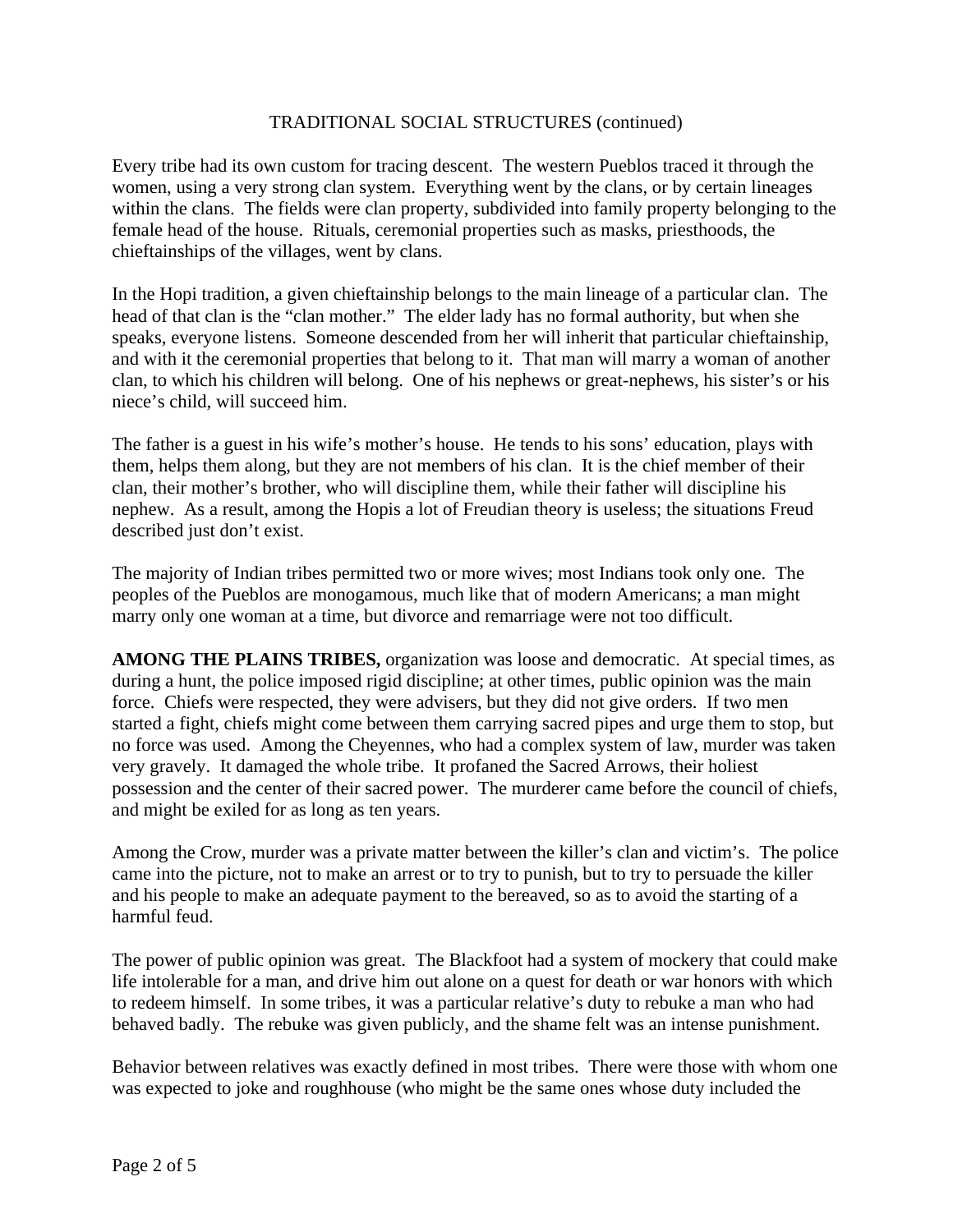Every tribe had its own custom for tracing descent. The western Pueblos traced it through the women, using a very strong clan system. Everything went by the clans, or by certain lineages within the clans. The fields were clan property, subdivided into family property belonging to the female head of the house. Rituals, ceremonial properties such as masks, priesthoods, the chieftainships of the villages, went by clans.

In the Hopi tradition, a given chieftainship belongs to the main lineage of a particular clan. The head of that clan is the "clan mother." The elder lady has no formal authority, but when she speaks, everyone listens. Someone descended from her will inherit that particular chieftainship, and with it the ceremonial properties that belong to it. That man will marry a woman of another clan, to which his children will belong. One of his nephews or great-nephews, his sister's or his niece's child, will succeed him.

The father is a guest in his wife's mother's house. He tends to his sons' education, plays with them, helps them along, but they are not members of his clan. It is the chief member of their clan, their mother's brother, who will discipline them, while their father will discipline his nephew. As a result, among the Hopis a lot of Freudian theory is useless; the situations Freud described just don't exist.

The majority of Indian tribes permitted two or more wives; most Indians took only one. The peoples of the Pueblos are monogamous, much like that of modern Americans; a man might marry only one woman at a time, but divorce and remarriage were not too difficult.

**AMONG THE PLAINS TRIBES,** organization was loose and democratic. At special times, as during a hunt, the police imposed rigid discipline; at other times, public opinion was the main force. Chiefs were respected, they were advisers, but they did not give orders. If two men started a fight, chiefs might come between them carrying sacred pipes and urge them to stop, but no force was used. Among the Cheyennes, who had a complex system of law, murder was taken very gravely. It damaged the whole tribe. It profaned the Sacred Arrows, their holiest possession and the center of their sacred power. The murderer came before the council of chiefs, and might be exiled for as long as ten years.

Among the Crow, murder was a private matter between the killer's clan and victim's. The police came into the picture, not to make an arrest or to try to punish, but to try to persuade the killer and his people to make an adequate payment to the bereaved, so as to avoid the starting of a harmful feud.

The power of public opinion was great. The Blackfoot had a system of mockery that could make life intolerable for a man, and drive him out alone on a quest for death or war honors with which to redeem himself. In some tribes, it was a particular relative's duty to rebuke a man who had behaved badly. The rebuke was given publicly, and the shame felt was an intense punishment.

Behavior between relatives was exactly defined in most tribes. There were those with whom one was expected to joke and roughhouse (who might be the same ones whose duty included the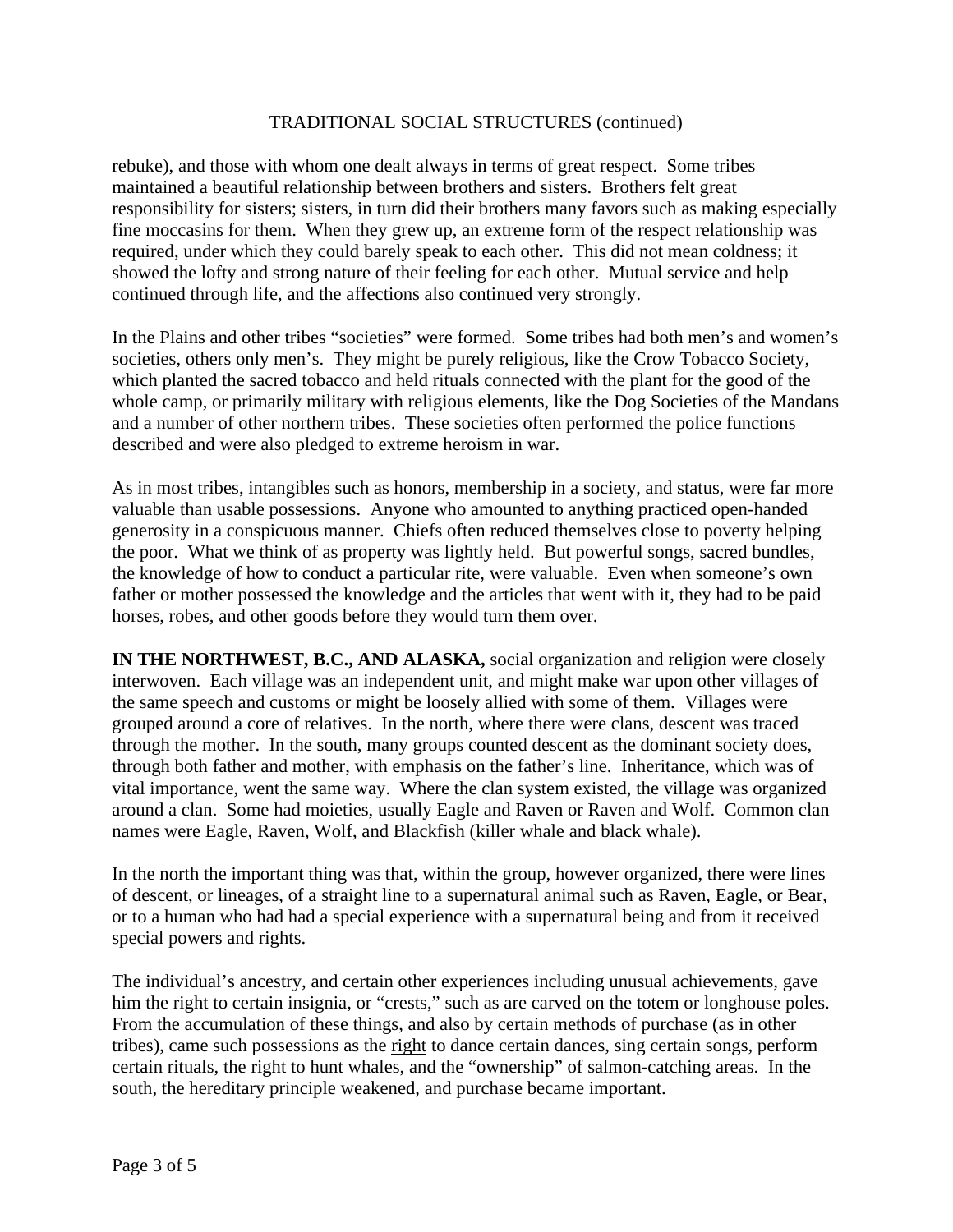rebuke), and those with whom one dealt always in terms of great respect. Some tribes maintained a beautiful relationship between brothers and sisters. Brothers felt great responsibility for sisters; sisters, in turn did their brothers many favors such as making especially fine moccasins for them. When they grew up, an extreme form of the respect relationship was required, under which they could barely speak to each other. This did not mean coldness; it showed the lofty and strong nature of their feeling for each other. Mutual service and help continued through life, and the affections also continued very strongly.

In the Plains and other tribes "societies" were formed. Some tribes had both men's and women's societies, others only men's. They might be purely religious, like the Crow Tobacco Society, which planted the sacred tobacco and held rituals connected with the plant for the good of the whole camp, or primarily military with religious elements, like the Dog Societies of the Mandans and a number of other northern tribes. These societies often performed the police functions described and were also pledged to extreme heroism in war.

As in most tribes, intangibles such as honors, membership in a society, and status, were far more valuable than usable possessions. Anyone who amounted to anything practiced open-handed generosity in a conspicuous manner. Chiefs often reduced themselves close to poverty helping the poor. What we think of as property was lightly held. But powerful songs, sacred bundles, the knowledge of how to conduct a particular rite, were valuable. Even when someone's own father or mother possessed the knowledge and the articles that went with it, they had to be paid horses, robes, and other goods before they would turn them over.

**IN THE NORTHWEST, B.C., AND ALASKA,** social organization and religion were closely interwoven. Each village was an independent unit, and might make war upon other villages of the same speech and customs or might be loosely allied with some of them. Villages were grouped around a core of relatives. In the north, where there were clans, descent was traced through the mother. In the south, many groups counted descent as the dominant society does, through both father and mother, with emphasis on the father's line. Inheritance, which was of vital importance, went the same way. Where the clan system existed, the village was organized around a clan. Some had moieties, usually Eagle and Raven or Raven and Wolf. Common clan names were Eagle, Raven, Wolf, and Blackfish (killer whale and black whale).

In the north the important thing was that, within the group, however organized, there were lines of descent, or lineages, of a straight line to a supernatural animal such as Raven, Eagle, or Bear, or to a human who had had a special experience with a supernatural being and from it received special powers and rights.

The individual's ancestry, and certain other experiences including unusual achievements, gave him the right to certain insignia, or "crests," such as are carved on the totem or longhouse poles. From the accumulation of these things, and also by certain methods of purchase (as in other tribes), came such possessions as the right to dance certain dances, sing certain songs, perform certain rituals, the right to hunt whales, and the "ownership" of salmon-catching areas. In the south, the hereditary principle weakened, and purchase became important.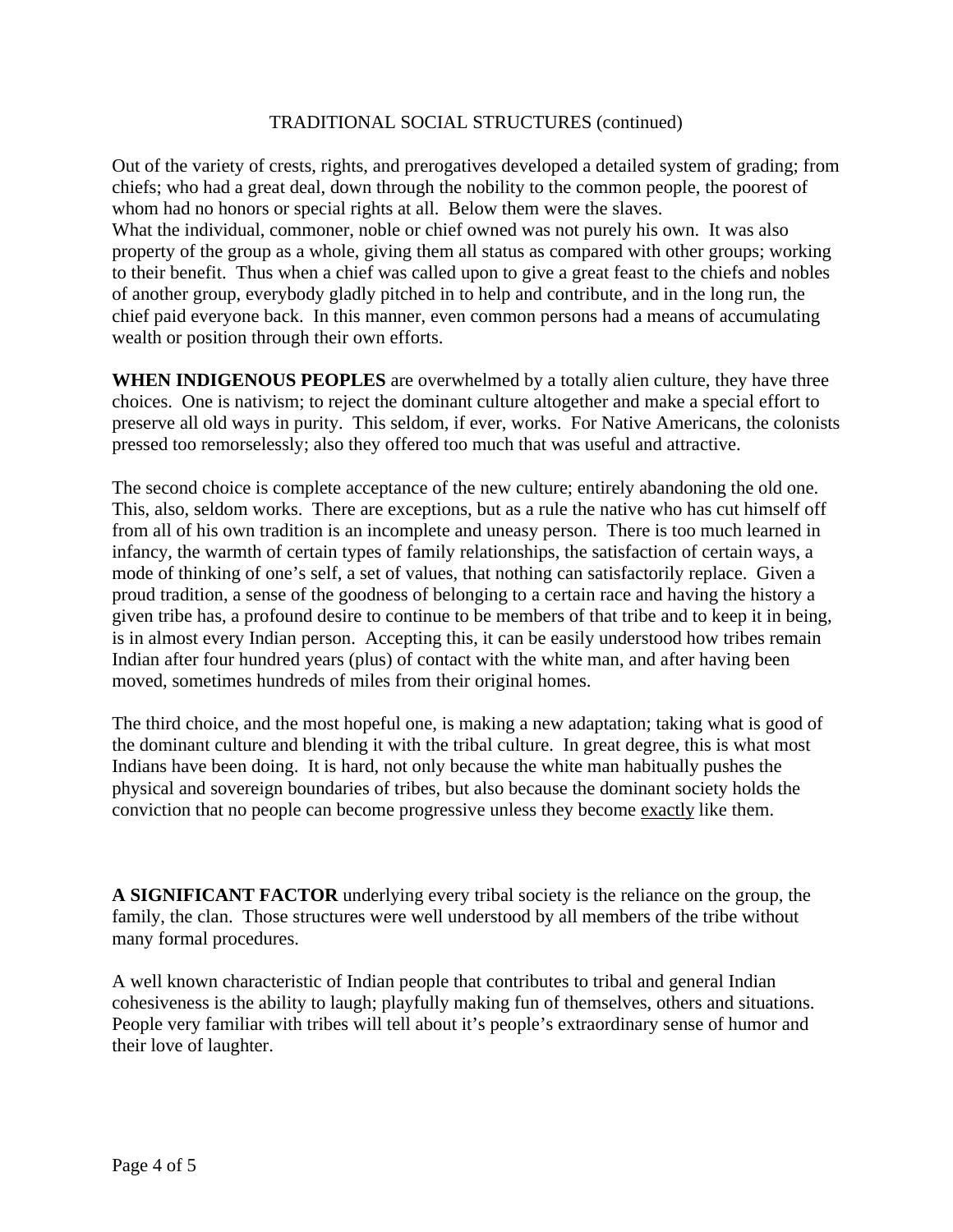Out of the variety of crests, rights, and prerogatives developed a detailed system of grading; from chiefs; who had a great deal, down through the nobility to the common people, the poorest of whom had no honors or special rights at all. Below them were the slaves. What the individual, commoner, noble or chief owned was not purely his own. It was also property of the group as a whole, giving them all status as compared with other groups; working to their benefit. Thus when a chief was called upon to give a great feast to the chiefs and nobles of another group, everybody gladly pitched in to help and contribute, and in the long run, the chief paid everyone back. In this manner, even common persons had a means of accumulating wealth or position through their own efforts.

**WHEN INDIGENOUS PEOPLES** are overwhelmed by a totally alien culture, they have three choices. One is nativism; to reject the dominant culture altogether and make a special effort to preserve all old ways in purity. This seldom, if ever, works. For Native Americans, the colonists pressed too remorselessly; also they offered too much that was useful and attractive.

The second choice is complete acceptance of the new culture; entirely abandoning the old one. This, also, seldom works. There are exceptions, but as a rule the native who has cut himself off from all of his own tradition is an incomplete and uneasy person. There is too much learned in infancy, the warmth of certain types of family relationships, the satisfaction of certain ways, a mode of thinking of one's self, a set of values, that nothing can satisfactorily replace. Given a proud tradition, a sense of the goodness of belonging to a certain race and having the history a given tribe has, a profound desire to continue to be members of that tribe and to keep it in being, is in almost every Indian person. Accepting this, it can be easily understood how tribes remain Indian after four hundred years (plus) of contact with the white man, and after having been moved, sometimes hundreds of miles from their original homes.

The third choice, and the most hopeful one, is making a new adaptation; taking what is good of the dominant culture and blending it with the tribal culture. In great degree, this is what most Indians have been doing. It is hard, not only because the white man habitually pushes the physical and sovereign boundaries of tribes, but also because the dominant society holds the conviction that no people can become progressive unless they become exactly like them.

**A SIGNIFICANT FACTOR** underlying every tribal society is the reliance on the group, the family, the clan. Those structures were well understood by all members of the tribe without many formal procedures.

A well known characteristic of Indian people that contributes to tribal and general Indian cohesiveness is the ability to laugh; playfully making fun of themselves, others and situations. People very familiar with tribes will tell about it's people's extraordinary sense of humor and their love of laughter.